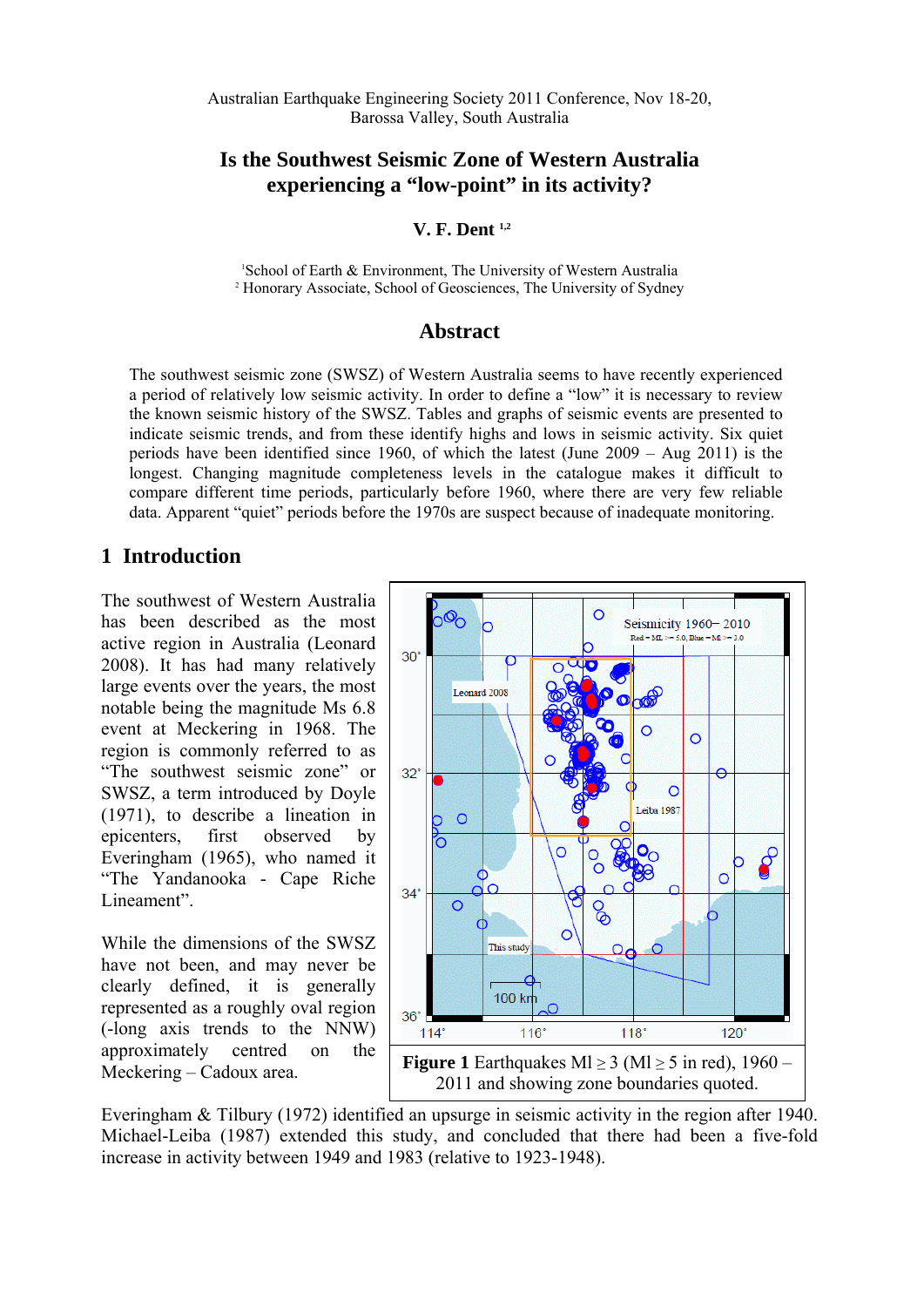Australian Earthquake Engineering Society 2011 Conference, Nov 18-20, Barossa Valley, South Australia

### **Is the Southwest Seismic Zone of Western Australia experiencing a "low-point" in its activity?**

 **V. F. Dent 1,2**

1 School of Earth & Environment, The University of Western Australia <sup>2</sup> Honorary Associate, School of Geosciences, The University of Sydney

#### **Abstract**

The southwest seismic zone (SWSZ) of Western Australia seems to have recently experienced a period of relatively low seismic activity. In order to define a "low" it is necessary to review the known seismic history of the SWSZ. Tables and graphs of seismic events are presented to indicate seismic trends, and from these identify highs and lows in seismic activity. Six quiet periods have been identified since 1960, of which the latest (June 2009 – Aug 2011) is the longest. Changing magnitude completeness levels in the catalogue makes it difficult to compare different time periods, particularly before 1960, where there are very few reliable data. Apparent "quiet" periods before the 1970s are suspect because of inadequate monitoring.

### **1 Introduction**

The southwest of Western Australia has been described as the most active region in Australia (Leonard 2008). It has had many relatively large events over the years, the most notable being the magnitude Ms 6.8 event at Meckering in 1968. The region is commonly referred to as "The southwest seismic zone" or SWSZ, a term introduced by Doyle (1971), to describe a lineation in epicenters, first observed by Everingham (1965), who named it "The Yandanooka - Cape Riche Lineament".

While the dimensions of the SWSZ have not been, and may never be clearly defined, it is generally represented as a roughly oval region (-long axis trends to the NNW) approximately centred on the Meckering – Cadoux area.



Everingham & Tilbury (1972) identified an upsurge in seismic activity in the region after 1940. Michael-Leiba (1987) extended this study, and concluded that there had been a five-fold increase in activity between 1949 and 1983 (relative to 1923-1948).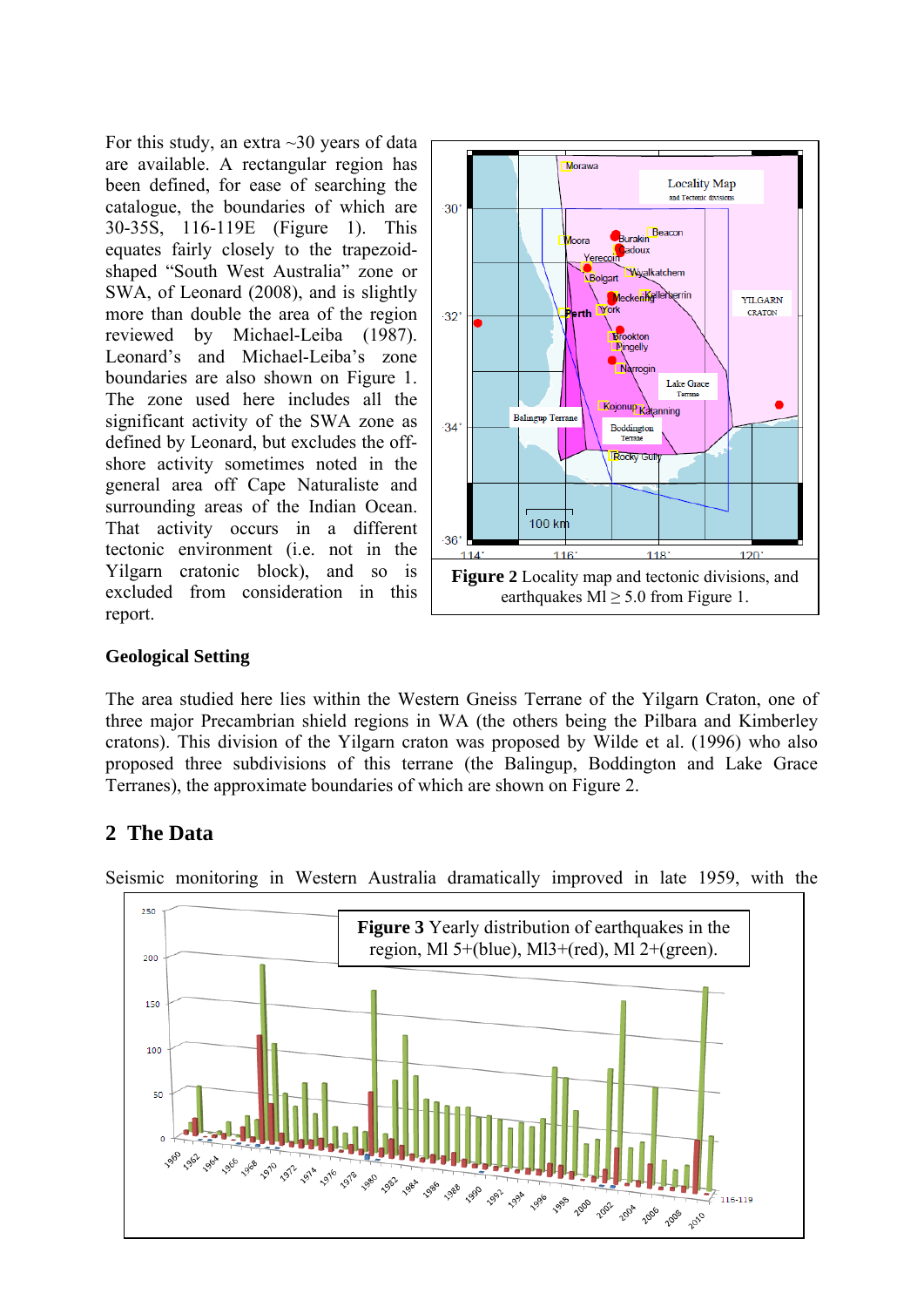For this study, an extra  $\sim$ 30 years of data are available. A rectangular region has been defined, for ease of searching the catalogue, the boundaries of which are 30-35S, 116-119E (Figure 1). This equates fairly closely to the trapezoidshaped "South West Australia" zone or SWA, of Leonard (2008), and is slightly more than double the area of the region reviewed by Michael-Leiba (1987). Leonard's and Michael-Leiba's zone boundaries are also shown on Figure 1. The zone used here includes all the significant activity of the SWA zone as defined by Leonard, but excludes the offshore activity sometimes noted in the general area off Cape Naturaliste and surrounding areas of the Indian Ocean. That activity occurs in a different tectonic environment (i.e. not in the Yilgarn cratonic block), and so is excluded from consideration in this report.



### **Geological Setting**

The area studied here lies within the Western Gneiss Terrane of the Yilgarn Craton, one of three major Precambrian shield regions in WA (the others being the Pilbara and Kimberley cratons). This division of the Yilgarn craton was proposed by Wilde et al. (1996) who also proposed three subdivisions of this terrane (the Balingup, Boddington and Lake Grace Terranes), the approximate boundaries of which are shown on Figure 2.

## **2 The Data**



Seismic monitoring in Western Australia dramatically improved in late 1959, with the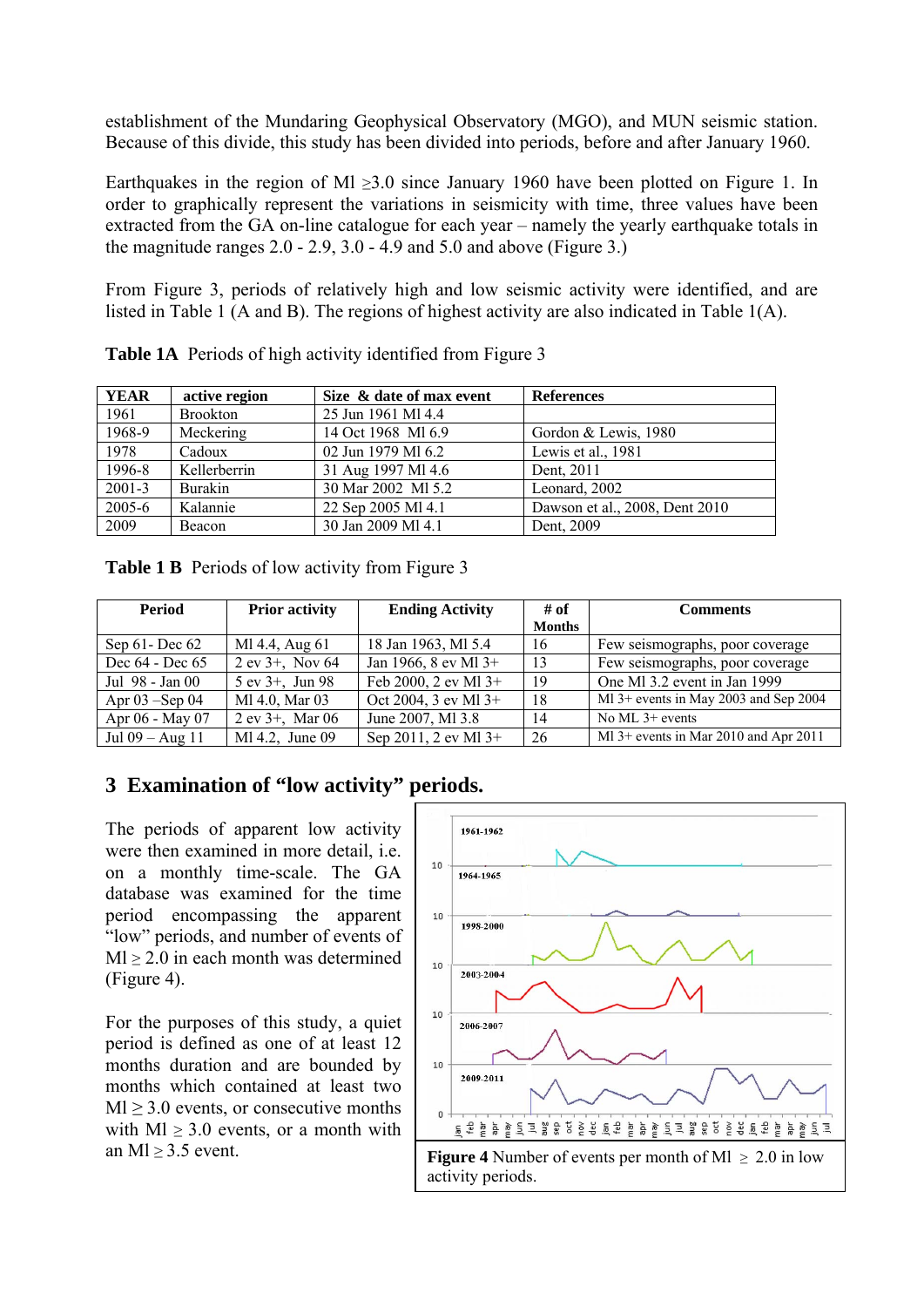establishment of the Mundaring Geophysical Observatory (MGO), and MUN seismic station. Because of this divide, this study has been divided into periods, before and after January 1960.

Earthquakes in the region of Ml  $\geq$ 3.0 since January 1960 have been plotted on Figure 1. In order to graphically represent the variations in seismicity with time, three values have been extracted from the GA on-line catalogue for each year – namely the yearly earthquake totals in the magnitude ranges  $2.0 - 2.9$ ,  $3.0 - 4.9$  and  $5.0$  and above (Figure 3.)

From Figure 3, periods of relatively high and low seismic activity were identified, and are listed in Table 1 (A and B). The regions of highest activity are also indicated in Table 1(A).

| <b>YEAR</b> | active region   | Size & date of max event | <b>References</b>              |
|-------------|-----------------|--------------------------|--------------------------------|
| 1961        | <b>Brookton</b> | 25 Jun 1961 MI 4.4       |                                |
| 1968-9      | Meckering       | 14 Oct 1968 MI 6.9       | Gordon & Lewis, 1980           |
| 1978        | Cadoux          | 02 Jun 1979 MI 6.2       | Lewis et al., 1981             |
| 1996-8      | Kellerberrin    | 31 Aug 1997 Ml 4.6       | Dent, 2011                     |
| $2001 - 3$  | Burakin         | 30 Mar 2002 MI 5.2       | Leonard, 2002                  |
| $2005 - 6$  | Kalannie        | 22 Sep 2005 Ml 4.1       | Dawson et al., 2008, Dent 2010 |
| 2009        | Beacon          | 30 Jan 2009 MI 4.1       | Dent, 2009                     |

**Table 1A** Periods of high activity identified from Figure 3

| <b>Table 1 B</b> Periods of low activity from Figure 3 |  |  |  |
|--------------------------------------------------------|--|--|--|
|                                                        |  |  |  |

| Period             | <b>Prior activity</b> | <b>Ending Activity</b> | # of          | <b>Comments</b>                         |  |
|--------------------|-----------------------|------------------------|---------------|-----------------------------------------|--|
|                    |                       |                        | <b>Months</b> |                                         |  |
| Sep $61$ -Dec $62$ | Ml 4.4, Aug 61        | 18 Jan 1963, MI 5.4    | 16            | Few seismographs, poor coverage         |  |
| Dec 64 - Dec 65    | $2$ ev $3+$ , Nov 64  | Jan 1966, 8 ev Ml 3+   | 13            | Few seismographs, poor coverage         |  |
| Jul 98 - Jan 00    | $5$ ev $3+$ , Jun 98  | Feb 2000, 2 ev Ml 3+   | 19            | One MI 3.2 event in Jan 1999            |  |
| Apr $03$ –Sep 04   | Ml 4.0, Mar 03        | Oct 2004, 3 ev Ml 3+   | 18            | Ml 3+ events in May 2003 and Sep 2004   |  |
| Apr 06 - May 07    | $2$ ev $3+$ , Mar 06  | June 2007, MI 3.8      | 14            | No ML $3+$ events                       |  |
| Jul 09 – Aug 11    | Ml 4.2, June 09       | Sep 2011, 2 ev Ml 3+   | 26            | Ml $3+$ events in Mar 2010 and Apr 2011 |  |

# **3 Examination of "low activity" periods.**

The periods of apparent low activity were then examined in more detail, i.e. on a monthly time-scale. The GA database was examined for the time period encompassing the apparent "low" periods, and number of events of  $Ml > 2.0$  in each month was determined (Figure 4).

For the purposes of this study, a quiet period is defined as one of at least 12 months duration and are bounded by months which contained at least two  $Ml \geq 3.0$  events, or consecutive months with  $Ml \geq 3.0$  events, or a month with an Ml  $\geq$  3.5 event.

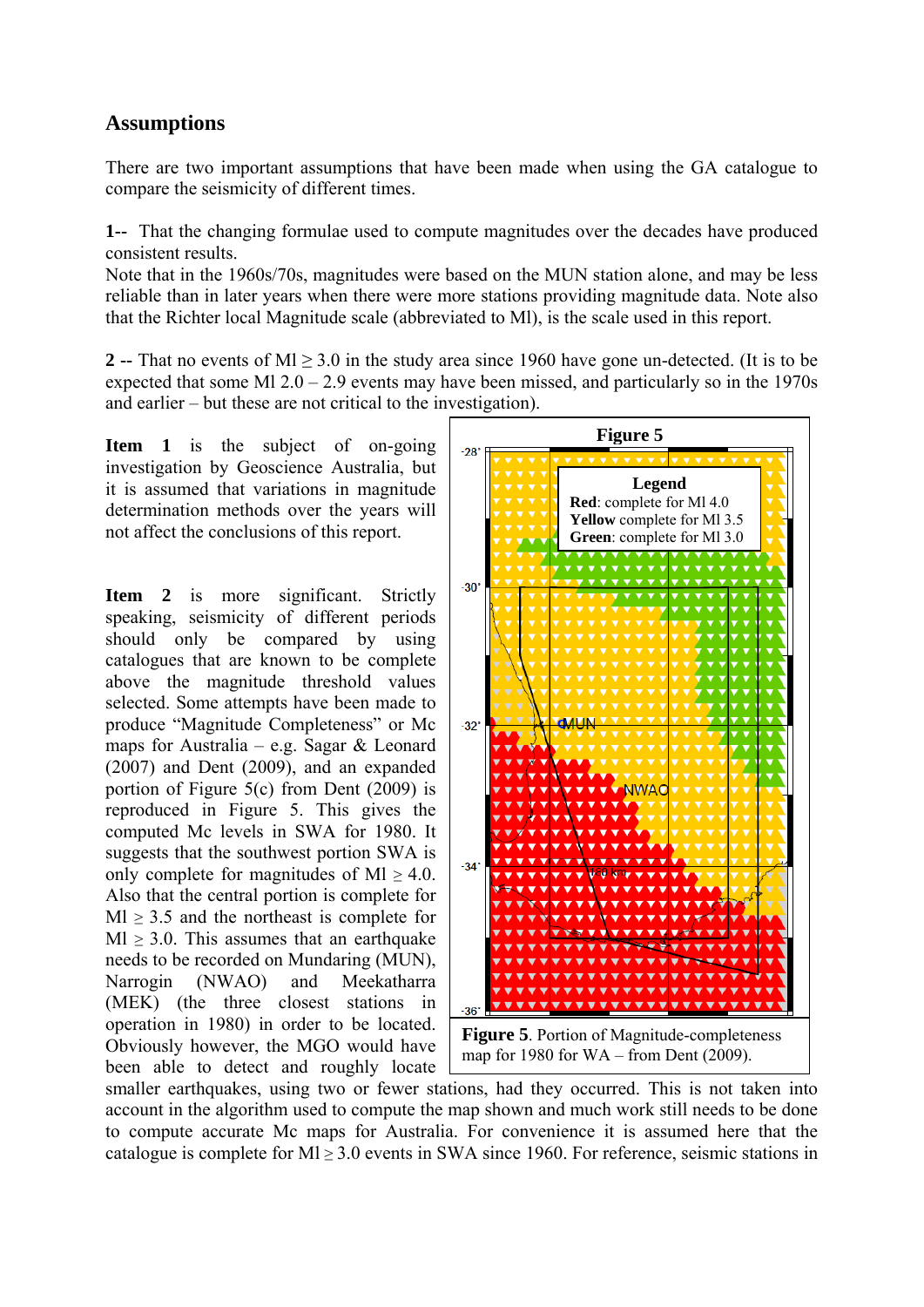## **Assumptions**

There are two important assumptions that have been made when using the GA catalogue to compare the seismicity of different times.

**1--** That the changing formulae used to compute magnitudes over the decades have produced consistent results.

Note that in the 1960s/70s, magnitudes were based on the MUN station alone, and may be less reliable than in later years when there were more stations providing magnitude data. Note also that the Richter local Magnitude scale (abbreviated to Ml), is the scale used in this report.

**2 --** That no events of Ml ≥ 3.0 in the study area since 1960 have gone un-detected. (It is to be expected that some Ml  $2.0 - 2.9$  events may have been missed, and particularly so in the 1970s and earlier – but these are not critical to the investigation).

**Item 1** is the subject of on-going investigation by Geoscience Australia, but it is assumed that variations in magnitude determination methods over the years will not affect the conclusions of this report.

**Item 2** is more significant. Strictly speaking, seismicity of different periods should only be compared by using catalogues that are known to be complete above the magnitude threshold values selected. Some attempts have been made to produce "Magnitude Completeness" or Mc maps for Australia – e.g. Sagar & Leonard (2007) and Dent (2009), and an expanded portion of Figure 5(c) from Dent (2009) is reproduced in Figure 5. This gives the computed Mc levels in SWA for 1980. It suggests that the southwest portion SWA is only complete for magnitudes of Ml  $\geq$  4.0. Also that the central portion is complete for  $Ml \geq 3.5$  and the northeast is complete for  $Ml \geq 3.0$ . This assumes that an earthquake needs to be recorded on Mundaring (MUN), Narrogin (NWAO) and Meekatharra (MEK) (the three closest stations in operation in 1980) in order to be located. Obviously however, the MGO would have been able to detect and roughly locate



smaller earthquakes, using two or fewer stations, had they occurred. This is not taken into account in the algorithm used to compute the map shown and much work still needs to be done to compute accurate Mc maps for Australia. For convenience it is assumed here that the catalogue is complete for  $M \ge 3.0$  events in SWA since 1960. For reference, seismic stations in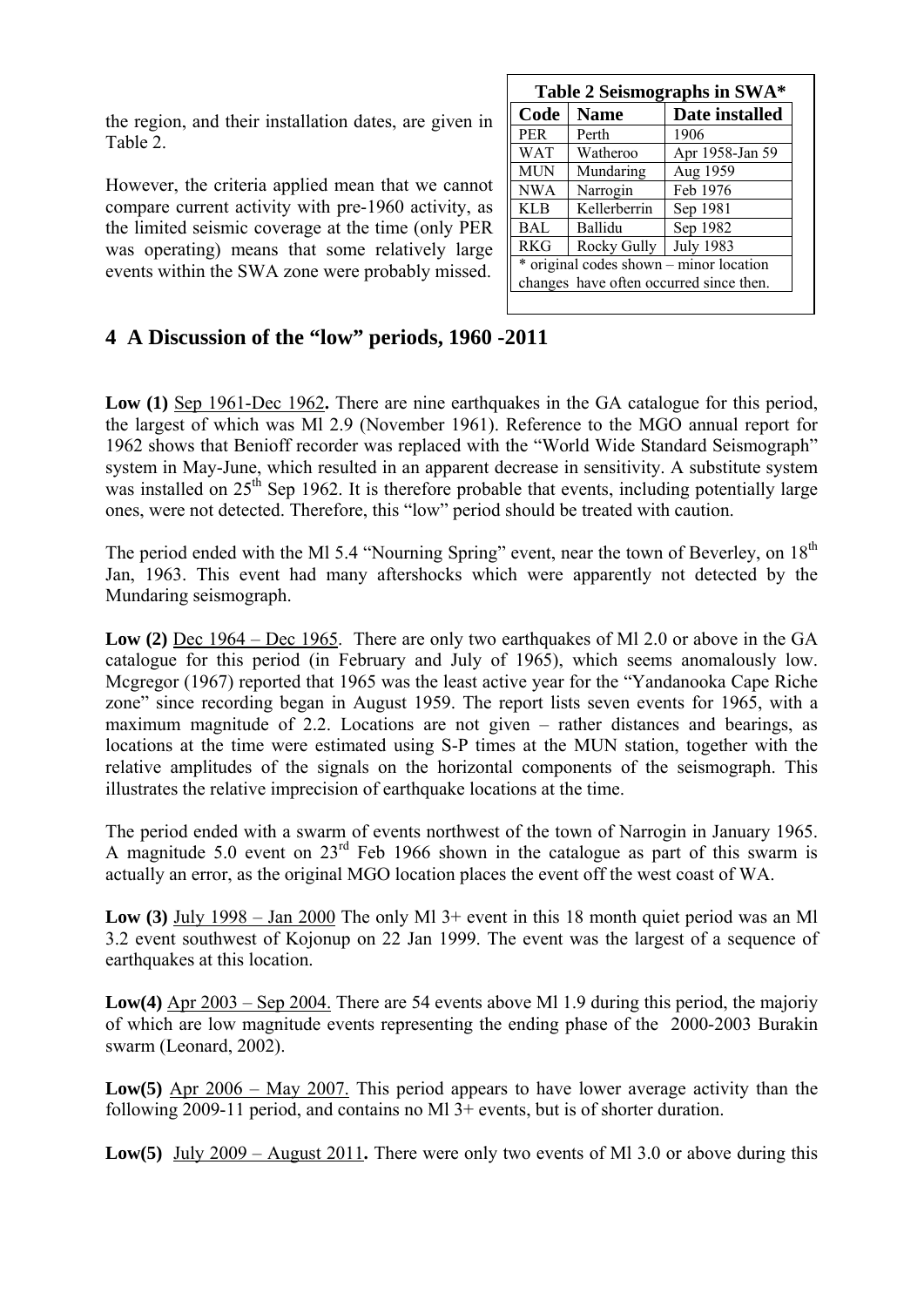the region, and their installation dates, are given in Table 2.

However, the criteria applied mean that we cannot compare current activity with pre-1960 activity, as the limited seismic coverage at the time (only PER was operating) means that some relatively large events within the SWA zone were probably missed.

| Table 2 Seismographs in SWA*            |              |                  |  |  |  |
|-----------------------------------------|--------------|------------------|--|--|--|
| Code                                    | <b>Name</b>  | Date installed   |  |  |  |
| <b>PER</b>                              | Perth        | 1906             |  |  |  |
| <b>WAT</b>                              | Watheroo     | Apr 1958-Jan 59  |  |  |  |
| <b>MUN</b>                              | Mundaring    | Aug 1959         |  |  |  |
| <b>NWA</b>                              | Narrogin     | Feb 1976         |  |  |  |
| <b>KLB</b>                              | Kellerberrin | Sep 1981         |  |  |  |
| BAL                                     | Ballidu      | Sep 1982         |  |  |  |
| <b>RKG</b>                              | Rocky Gully  | <b>July 1983</b> |  |  |  |
| * original codes shown – minor location |              |                  |  |  |  |
| changes have often occurred since then. |              |                  |  |  |  |
|                                         |              |                  |  |  |  |

# **4 A Discussion of the "low" periods, 1960 -2011**

**Low (1)** Sep 1961-Dec 1962**.** There are nine earthquakes in the GA catalogue for this period, the largest of which was Ml 2.9 (November 1961). Reference to the MGO annual report for 1962 shows that Benioff recorder was replaced with the "World Wide Standard Seismograph" system in May-June, which resulted in an apparent decrease in sensitivity. A substitute system was installed on  $25<sup>th</sup>$  Sep 1962. It is therefore probable that events, including potentially large ones, were not detected. Therefore, this "low" period should be treated with caution.

The period ended with the Ml 5.4 "Nourning Spring" event, near the town of Beverley, on 18<sup>th</sup> Jan, 1963. This event had many aftershocks which were apparently not detected by the Mundaring seismograph.

**Low (2)** Dec 1964 – Dec 1965. There are only two earthquakes of Ml 2.0 or above in the GA catalogue for this period (in February and July of 1965), which seems anomalously low. Mcgregor (1967) reported that 1965 was the least active year for the "Yandanooka Cape Riche zone" since recording began in August 1959. The report lists seven events for 1965, with a maximum magnitude of 2.2. Locations are not given – rather distances and bearings, as locations at the time were estimated using S-P times at the MUN station, together with the relative amplitudes of the signals on the horizontal components of the seismograph. This illustrates the relative imprecision of earthquake locations at the time.

The period ended with a swarm of events northwest of the town of Narrogin in January 1965. A magnitude 5.0 event on  $23<sup>rd</sup>$  Feb 1966 shown in the catalogue as part of this swarm is actually an error, as the original MGO location places the event off the west coast of WA.

**Low (3)** July 1998 – Jan 2000 The only Ml 3+ event in this 18 month quiet period was an Ml 3.2 event southwest of Kojonup on 22 Jan 1999. The event was the largest of a sequence of earthquakes at this location.

**Low(4)** Apr 2003 – Sep 2004. There are 54 events above Ml 1.9 during this period, the majoriy of which are low magnitude events representing the ending phase of the 2000-2003 Burakin swarm (Leonard, 2002).

**Low(5)** Apr 2006 – May 2007. This period appears to have lower average activity than the following 2009-11 period, and contains no Ml 3+ events, but is of shorter duration.

**Low(5)** July 2009 – August 2011**.** There were only two events of Ml 3.0 or above during this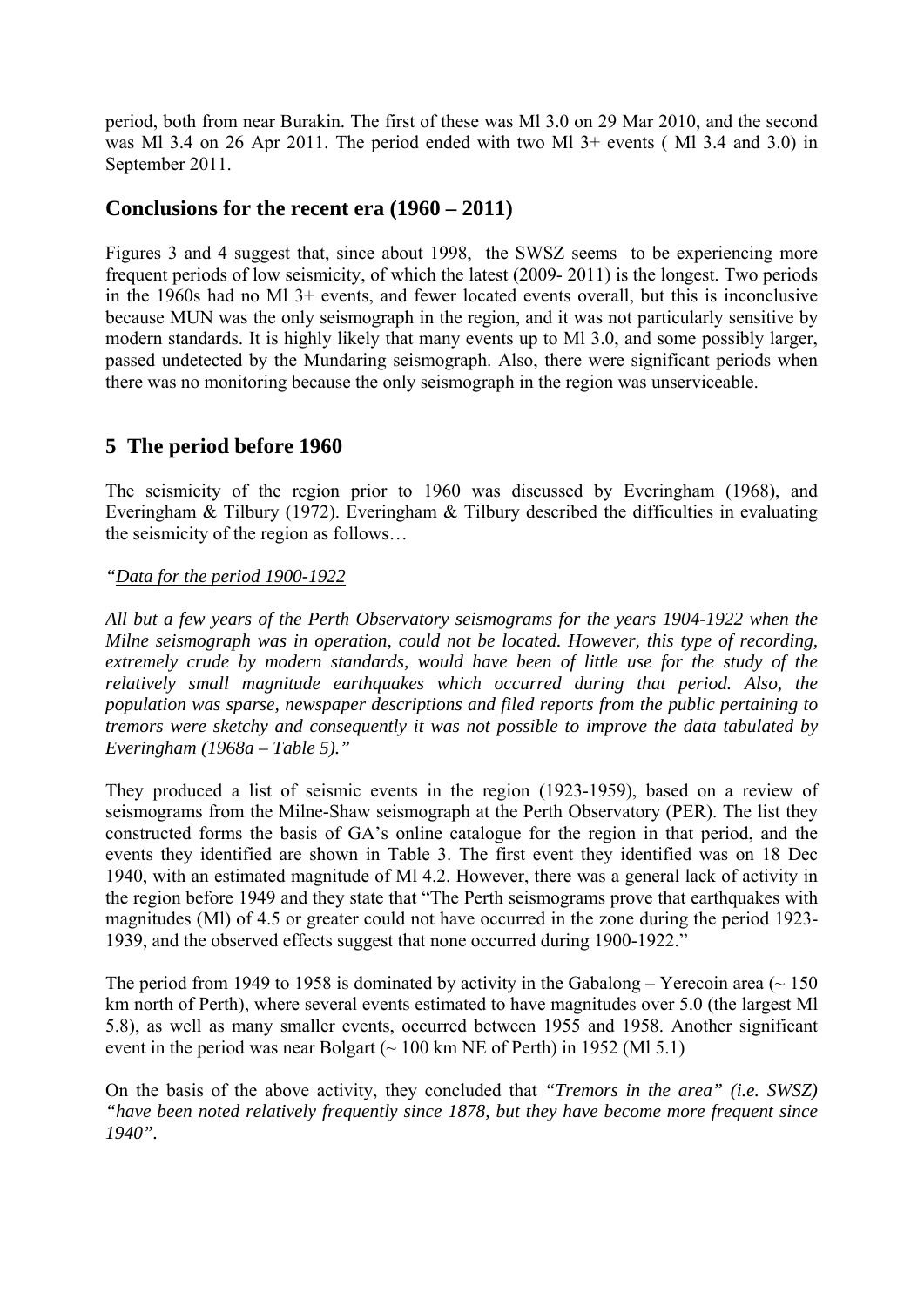period, both from near Burakin. The first of these was Ml 3.0 on 29 Mar 2010, and the second was Ml 3.4 on 26 Apr 2011. The period ended with two Ml 3+ events ( Ml 3.4 and 3.0) in September 2011.

### **Conclusions for the recent era (1960 – 2011)**

Figures 3 and 4 suggest that, since about 1998, the SWSZ seems to be experiencing more frequent periods of low seismicity, of which the latest (2009- 2011) is the longest. Two periods in the 1960s had no Ml 3+ events, and fewer located events overall, but this is inconclusive because MUN was the only seismograph in the region, and it was not particularly sensitive by modern standards. It is highly likely that many events up to Ml 3.0, and some possibly larger, passed undetected by the Mundaring seismograph. Also, there were significant periods when there was no monitoring because the only seismograph in the region was unserviceable.

## **5 The period before 1960**

The seismicity of the region prior to 1960 was discussed by Everingham (1968), and Everingham & Tilbury (1972). Everingham & Tilbury described the difficulties in evaluating the seismicity of the region as follows…

### *"Data for the period 1900-1922*

*All but a few years of the Perth Observatory seismograms for the years 1904-1922 when the Milne seismograph was in operation, could not be located. However, this type of recording,*  extremely crude by modern standards, would have been of little use for the study of the *relatively small magnitude earthquakes which occurred during that period. Also, the population was sparse, newspaper descriptions and filed reports from the public pertaining to tremors were sketchy and consequently it was not possible to improve the data tabulated by Everingham (1968a – Table 5)."* 

They produced a list of seismic events in the region (1923-1959), based on a review of seismograms from the Milne-Shaw seismograph at the Perth Observatory (PER). The list they constructed forms the basis of GA's online catalogue for the region in that period, and the events they identified are shown in Table 3. The first event they identified was on 18 Dec 1940, with an estimated magnitude of Ml 4.2. However, there was a general lack of activity in the region before 1949 and they state that "The Perth seismograms prove that earthquakes with magnitudes (Ml) of 4.5 or greater could not have occurred in the zone during the period 1923- 1939, and the observed effects suggest that none occurred during 1900-1922."

The period from 1949 to 1958 is dominated by activity in the Gabalong – Yerecoin area ( $\sim 150$ ) km north of Perth), where several events estimated to have magnitudes over 5.0 (the largest Ml 5.8), as well as many smaller events, occurred between 1955 and 1958. Another significant event in the period was near Bolgart ( $\sim 100$  km NE of Perth) in 1952 (MI 5.1)

On the basis of the above activity, they concluded that *"Tremors in the area" (i.e. SWSZ) "have been noted relatively frequently since 1878, but they have become more frequent since 1940".*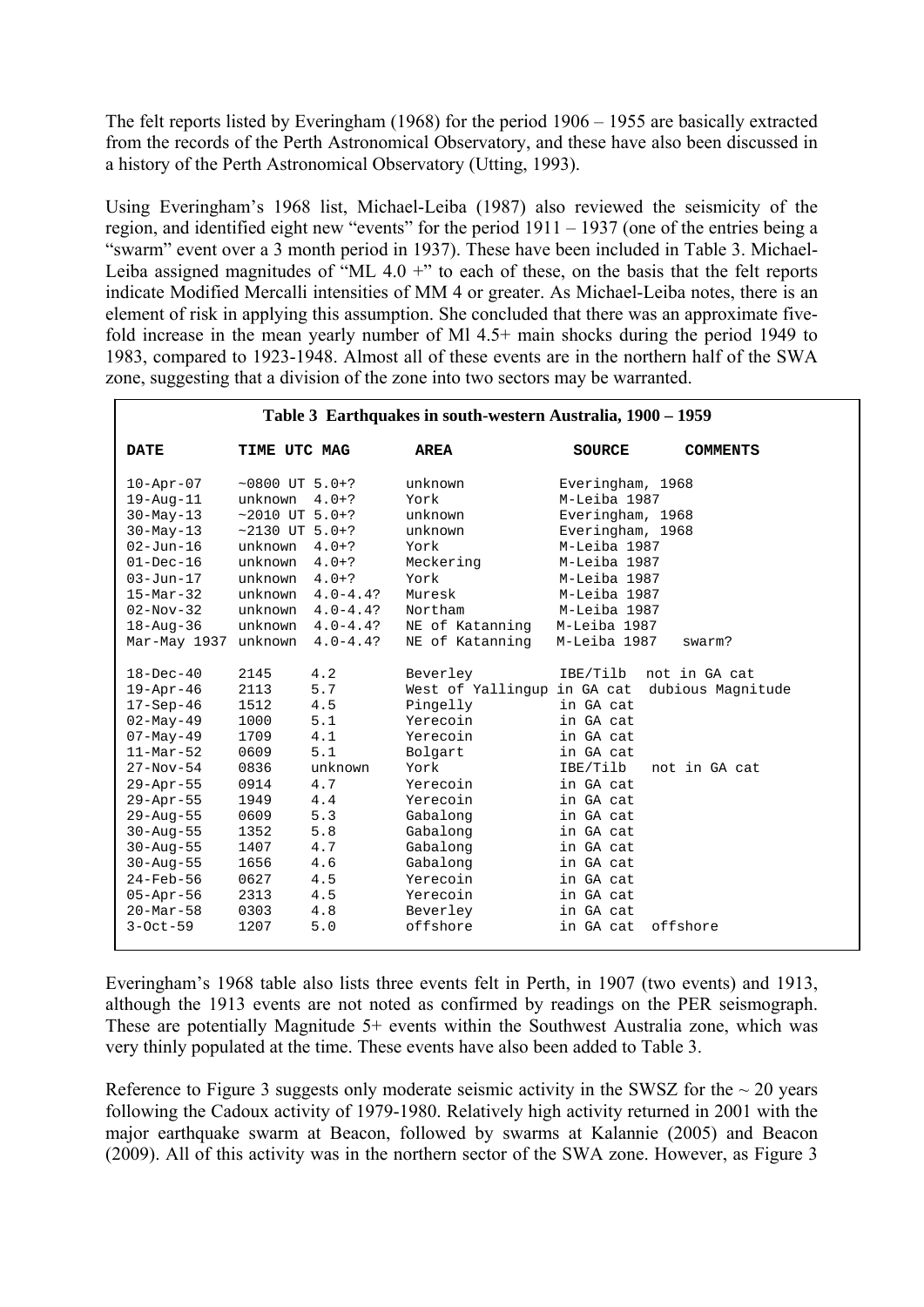The felt reports listed by Everingham (1968) for the period 1906 – 1955 are basically extracted from the records of the Perth Astronomical Observatory, and these have also been discussed in a history of the Perth Astronomical Observatory (Utting, 1993).

Using Everingham's 1968 list, Michael-Leiba (1987) also reviewed the seismicity of the region, and identified eight new "events" for the period 1911 – 1937 (one of the entries being a "swarm" event over a 3 month period in 1937). These have been included in Table 3. Michael-Leiba assigned magnitudes of "ML  $4.0 +$ " to each of these, on the basis that the felt reports indicate Modified Mercalli intensities of MM 4 or greater. As Michael-Leiba notes, there is an element of risk in applying this assumption. She concluded that there was an approximate fivefold increase in the mean yearly number of Ml 4.5+ main shocks during the period 1949 to 1983, compared to 1923-1948. Almost all of these events are in the northern half of the SWA zone, suggesting that a division of the zone into two sectors may be warranted.

| Table 3 Earthquakes in south-western Australia, 1900 - 1959                                                                                                                                                                                                                                                                           |                                                                                                                                                 |                                                                                                                                         |                                                                                                                                                                                                                                           |                                                                                                                                                                                                                            |                                                                           |
|---------------------------------------------------------------------------------------------------------------------------------------------------------------------------------------------------------------------------------------------------------------------------------------------------------------------------------------|-------------------------------------------------------------------------------------------------------------------------------------------------|-----------------------------------------------------------------------------------------------------------------------------------------|-------------------------------------------------------------------------------------------------------------------------------------------------------------------------------------------------------------------------------------------|----------------------------------------------------------------------------------------------------------------------------------------------------------------------------------------------------------------------------|---------------------------------------------------------------------------|
| <b>DATE</b>                                                                                                                                                                                                                                                                                                                           | TIME UTC MAG                                                                                                                                    |                                                                                                                                         | <b>AREA</b>                                                                                                                                                                                                                               | <b>SOURCE</b>                                                                                                                                                                                                              | <b>COMMENTS</b>                                                           |
| $10 - Apr - 07$<br>$19 - Aug - 11$<br>$30 - May - 13$<br>$30 - May - 13$<br>$02 - Jun - 16$<br>$01 - Dec-16$<br>$03 - Jun - 17$<br>$15 - \text{Mar} - 32$<br>$02 - Nov - 32$<br>$18 - Aug - 36$                                                                                                                                       | $~10800$ UT 5.0+?<br>unknown $4.0+?$<br>$~2010$ UT 5.0+?<br>$~2130$ UT 5.0+?<br>unknown<br>unknown<br>unknown<br>unknown<br>unknown<br>unknown  | $4.0+?$<br>$4.0+?$<br>$4.0+?$<br>$4.0 - 4.4?$<br>$4.0 - 4.4?$<br>$4.0 - 4.4?$                                                           | unknown<br>York<br>unknown<br>unknown<br>York<br>Meckering<br>York<br>Muresk<br>Northam<br>NE of Katanning                                                                                                                                | Everingham, 1968<br>M-Leiba 1987<br>Everingham, 1968<br>Everingham, 1968<br>M-Leiba 1987<br>M-Leiba 1987<br>M-Leiba 1987<br>M-Leiba 1987<br>M-Leiba 1987<br>M-Leiba 1987                                                   |                                                                           |
| Mar-May 1937<br>$18 - Dec - 40$<br>$19 - Apr - 46$<br>$17 - Sep-46$<br>$02 - May - 49$<br>$07 - May - 49$<br>$11-Mar-52$<br>$27 - Nov - 54$<br>29-Apr-55<br>$29 - Apr - 55$<br>$29 - Aug - 55$<br>$30 - Aug - 55$<br>$30 - Aug - 55$<br>$30 - Aug - 55$<br>$24$ -Feb-56<br>$05 - Appr-56$<br>$20 - \text{Mar} - 58$<br>$3 - Oct - 59$ | unknown<br>2145<br>2113<br>1512<br>1000<br>1709<br>0609<br>0836<br>0914<br>1949<br>0609<br>1352<br>1407<br>1656<br>0627<br>2313<br>0303<br>1207 | $4.0 - 4.4?$<br>4.2<br>5.7<br>4.5<br>5.1<br>4.1<br>5.1<br>unknown<br>4.7<br>4.4<br>5.3<br>5.8<br>4.7<br>4.6<br>4.5<br>4.5<br>4.8<br>5.0 | NE of Katanning<br>Beverley<br>West of Yallingup in GA cat<br>Pingelly<br>Yerecoin<br>Yerecoin<br>Bolgart<br>York<br>Yerecoin<br>Yerecoin<br>Gabalong<br>Gabalong<br>Gabalong<br>Gabalong<br>Yerecoin<br>Yerecoin<br>Beverley<br>offshore | M-Leiba 1987<br>IBE/Tilb<br>in GA cat<br>in GA cat<br>in GA cat<br>in GA cat<br>IBE/Tilb<br>in GA cat<br>in GA cat<br>in GA cat<br>in GA cat<br>in GA cat<br>in GA cat<br>in GA cat<br>in GA cat<br>in GA cat<br>in GA cat | swarm?<br>not in GA cat<br>dubious Magnitude<br>not in GA cat<br>offshore |

Everingham's 1968 table also lists three events felt in Perth, in 1907 (two events) and 1913, although the 1913 events are not noted as confirmed by readings on the PER seismograph. These are potentially Magnitude 5+ events within the Southwest Australia zone, which was very thinly populated at the time. These events have also been added to Table 3.

Reference to Figure 3 suggests only moderate seismic activity in the SWSZ for the  $\sim$  20 years following the Cadoux activity of 1979-1980. Relatively high activity returned in 2001 with the major earthquake swarm at Beacon, followed by swarms at Kalannie (2005) and Beacon (2009). All of this activity was in the northern sector of the SWA zone. However, as Figure 3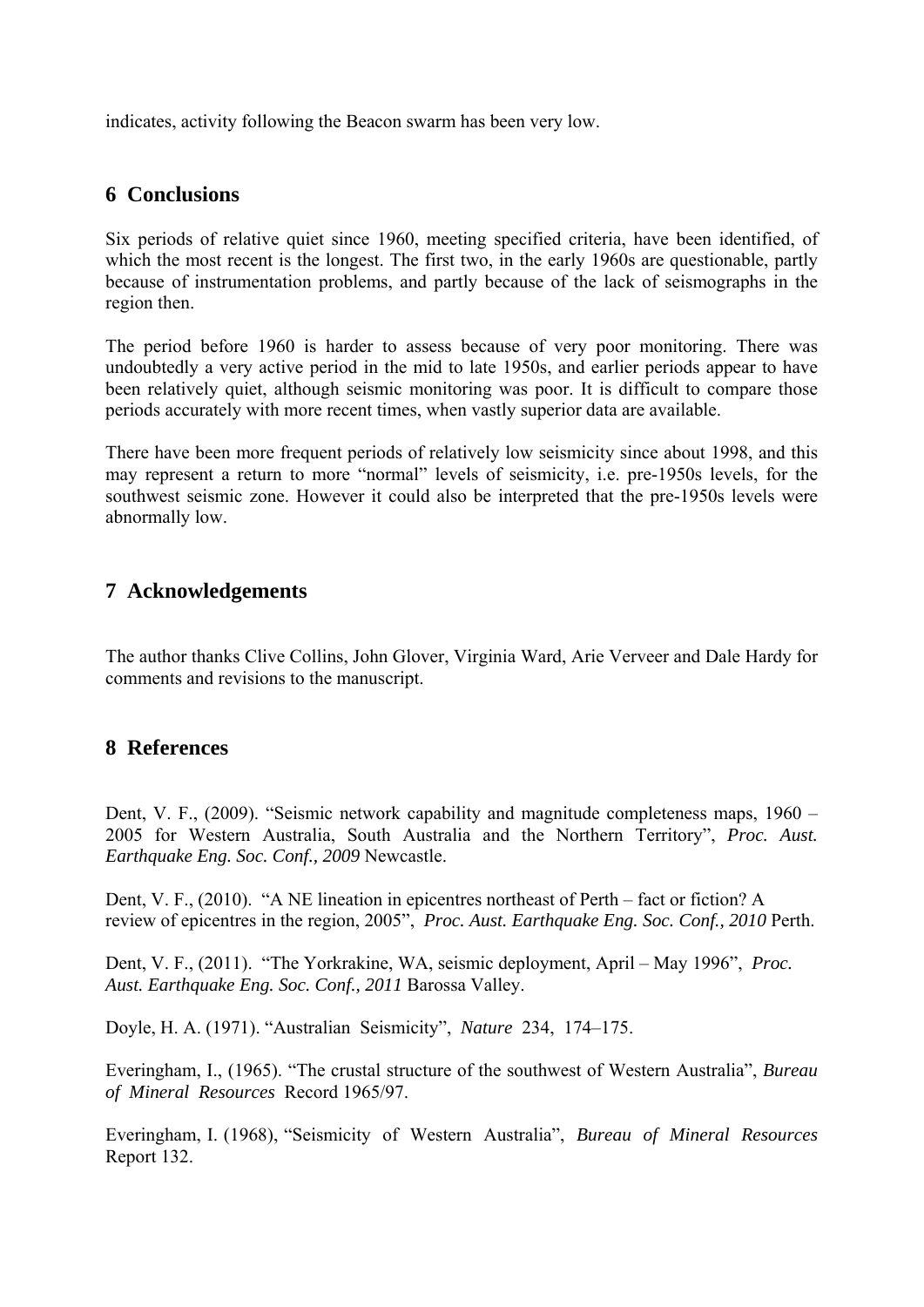indicates, activity following the Beacon swarm has been very low.

# **6 Conclusions**

Six periods of relative quiet since 1960, meeting specified criteria, have been identified, of which the most recent is the longest. The first two, in the early 1960s are questionable, partly because of instrumentation problems, and partly because of the lack of seismographs in the region then.

The period before 1960 is harder to assess because of very poor monitoring. There was undoubtedly a very active period in the mid to late 1950s, and earlier periods appear to have been relatively quiet, although seismic monitoring was poor. It is difficult to compare those periods accurately with more recent times, when vastly superior data are available.

There have been more frequent periods of relatively low seismicity since about 1998, and this may represent a return to more "normal" levels of seismicity, i.e. pre-1950s levels, for the southwest seismic zone. However it could also be interpreted that the pre-1950s levels were abnormally low.

# **7 Acknowledgements**

The author thanks Clive Collins, John Glover, Virginia Ward, Arie Verveer and Dale Hardy for comments and revisions to the manuscript.

## **8 References**

Dent, V. F., (2009). "Seismic network capability and magnitude completeness maps, 1960 – 2005 for Western Australia, South Australia and the Northern Territory", *Proc. Aust. Earthquake Eng. Soc. Conf., 2009* Newcastle.

Dent, V. F., (2010). "A NE lineation in epicentres northeast of Perth – fact or fiction? A review of epicentres in the region, 2005", *Proc. Aust. Earthquake Eng. Soc. Conf., 2010* Perth.

Dent, V. F., (2011). "The Yorkrakine, WA, seismic deployment, April – May 1996", *Proc. Aust. Earthquake Eng. Soc. Conf., 2011* Barossa Valley.

Doyle, H. A. (1971). "Australian Seismicity", *Nature* 234, 174–175.

Everingham, I., (1965). "The crustal structure of the southwest of Western Australia", *Bureau of Mineral Resources* Record 1965/97.

Everingham, I. (1968), "Seismicity of Western Australia", *Bureau of Mineral Resources* Report 132.